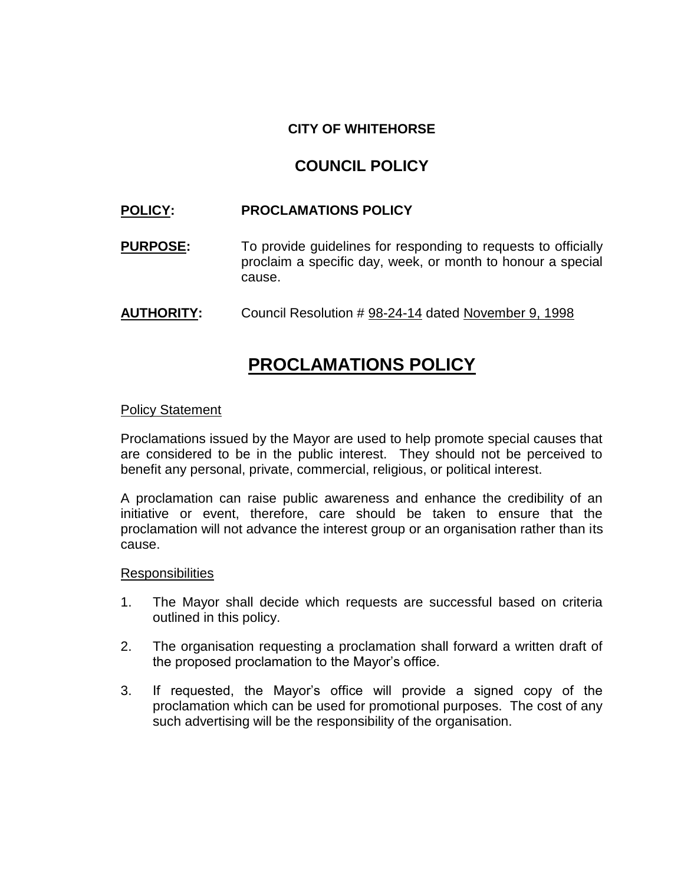# **CITY OF WHITEHORSE**

# **COUNCIL POLICY**

# **POLICY: PROCLAMATIONS POLICY**

- **PURPOSE:** To provide quidelines for responding to requests to officially proclaim a specific day, week, or month to honour a special cause.
- **AUTHORITY:** Council Resolution # 98-24-14 dated November 9, 1998

# **PROCLAMATIONS POLICY**

#### Policy Statement

Proclamations issued by the Mayor are used to help promote special causes that are considered to be in the public interest. They should not be perceived to benefit any personal, private, commercial, religious, or political interest.

A proclamation can raise public awareness and enhance the credibility of an initiative or event, therefore, care should be taken to ensure that the proclamation will not advance the interest group or an organisation rather than its cause.

#### **Responsibilities**

- 1. The Mayor shall decide which requests are successful based on criteria outlined in this policy.
- 2. The organisation requesting a proclamation shall forward a written draft of the proposed proclamation to the Mayor's office.
- 3. If requested, the Mayor's office will provide a signed copy of the proclamation which can be used for promotional purposes. The cost of any such advertising will be the responsibility of the organisation.